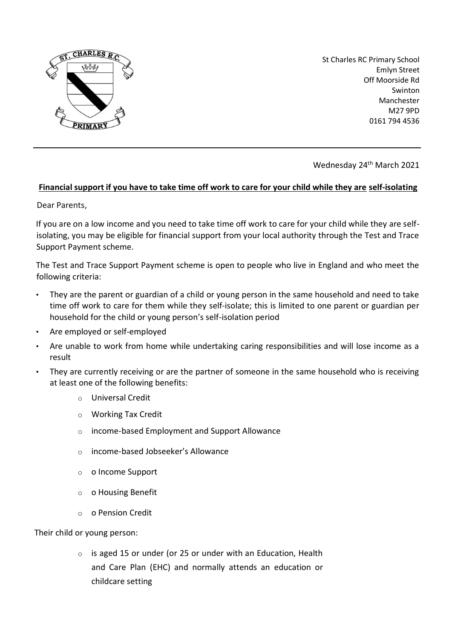

St Charles RC Primary School Emlyn Street Off Moorside Rd Swinton Manchester M27 9PD 0161 794 4536

Wednesday 24<sup>th</sup> March 2021

## **Financial support if you have to take time off work to care for your child while they are self-isolating**

Dear Parents,

If you are on a low income and you need to take time off work to care for your child while they are selfisolating, you may be eligible for financial support from your local authority through the Test and Trace Support Payment scheme.

The Test and Trace Support Payment scheme is open to people who live in England and who meet the following criteria:

- They are the parent or guardian of a child or young person in the same household and need to take time off work to care for them while they self-isolate; this is limited to one parent or guardian per household for the child or young person's self-isolation period
- Are employed or self-employed
- Are unable to work from home while undertaking caring responsibilities and will lose income as a result
- They are currently receiving or are the partner of someone in the same household who is receiving at least one of the following benefits:
	- o Universal Credit
	- o Working Tax Credit
	- o income-based Employment and Support Allowance
	- o income-based Jobseeker's Allowance
	- o o Income Support
	- o o Housing Benefit
	- o o Pension Credit

Their child or young person:

 $\circ$  is aged 15 or under (or 25 or under with an Education, Health and Care Plan (EHC) and normally attends an education or childcare setting